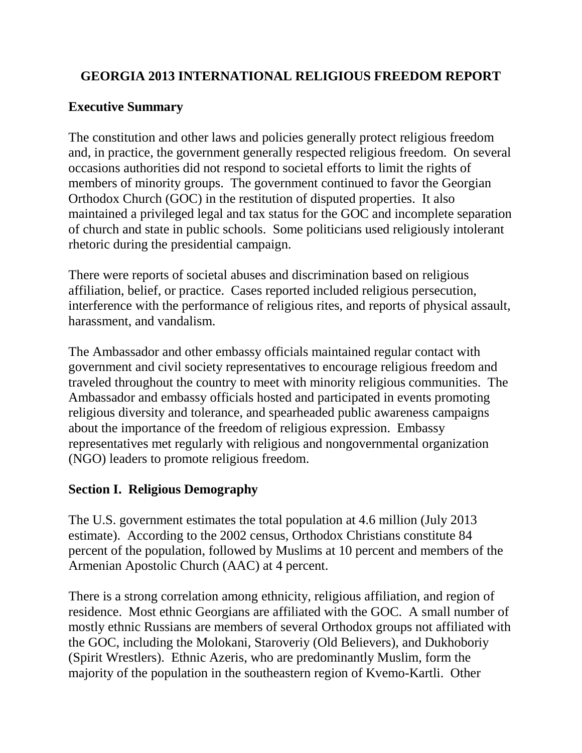## **GEORGIA 2013 INTERNATIONAL RELIGIOUS FREEDOM REPORT**

## **Executive Summary**

The constitution and other laws and policies generally protect religious freedom and, in practice, the government generally respected religious freedom. On several occasions authorities did not respond to societal efforts to limit the rights of members of minority groups. The government continued to favor the Georgian Orthodox Church (GOC) in the restitution of disputed properties. It also maintained a privileged legal and tax status for the GOC and incomplete separation of church and state in public schools. Some politicians used religiously intolerant rhetoric during the presidential campaign.

There were reports of societal abuses and discrimination based on religious affiliation, belief, or practice. Cases reported included religious persecution, interference with the performance of religious rites, and reports of physical assault, harassment, and vandalism.

The Ambassador and other embassy officials maintained regular contact with government and civil society representatives to encourage religious freedom and traveled throughout the country to meet with minority religious communities. The Ambassador and embassy officials hosted and participated in events promoting religious diversity and tolerance, and spearheaded public awareness campaigns about the importance of the freedom of religious expression. Embassy representatives met regularly with religious and nongovernmental organization (NGO) leaders to promote religious freedom.

## **Section I. Religious Demography**

The U.S. government estimates the total population at 4.6 million (July 2013 estimate). According to the 2002 census, Orthodox Christians constitute 84 percent of the population, followed by Muslims at 10 percent and members of the Armenian Apostolic Church (AAC) at 4 percent.

There is a strong correlation among ethnicity, religious affiliation, and region of residence. Most ethnic Georgians are affiliated with the GOC. A small number of mostly ethnic Russians are members of several Orthodox groups not affiliated with the GOC, including the Molokani, Staroveriy (Old Believers), and Dukhoboriy (Spirit Wrestlers). Ethnic Azeris, who are predominantly Muslim, form the majority of the population in the southeastern region of Kvemo-Kartli. Other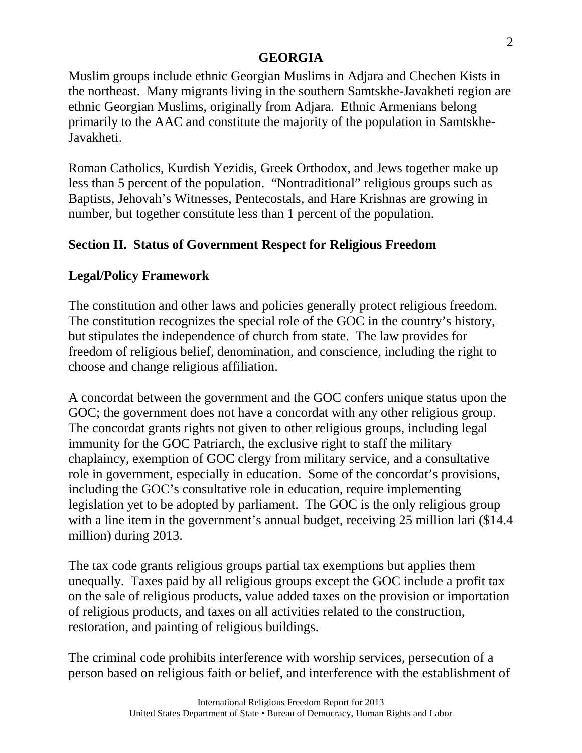Muslim groups include ethnic Georgian Muslims in Adjara and Chechen Kists in the northeast. Many migrants living in the southern Samtskhe-Javakheti region are ethnic Georgian Muslims, originally from Adjara. Ethnic Armenians belong primarily to the AAC and constitute the majority of the population in Samtskhe-Javakheti.

Roman Catholics, Kurdish Yezidis, Greek Orthodox, and Jews together make up less than 5 percent of the population. "Nontraditional" religious groups such as Baptists, Jehovah's Witnesses, Pentecostals, and Hare Krishnas are growing in number, but together constitute less than 1 percent of the population.

# **Section II. Status of Government Respect for Religious Freedom**

# **Legal/Policy Framework**

The constitution and other laws and policies generally protect religious freedom. The constitution recognizes the special role of the GOC in the country's history, but stipulates the independence of church from state. The law provides for freedom of religious belief, denomination, and conscience, including the right to choose and change religious affiliation.

A concordat between the government and the GOC confers unique status upon the GOC; the government does not have a concordat with any other religious group. The concordat grants rights not given to other religious groups, including legal immunity for the GOC Patriarch, the exclusive right to staff the military chaplaincy, exemption of GOC clergy from military service, and a consultative role in government, especially in education. Some of the concordat's provisions, including the GOC's consultative role in education, require implementing legislation yet to be adopted by parliament. The GOC is the only religious group with a line item in the government's annual budget, receiving 25 million lari (\$14.4) million) during 2013.

The tax code grants religious groups partial tax exemptions but applies them unequally. Taxes paid by all religious groups except the GOC include a profit tax on the sale of religious products, value added taxes on the provision or importation of religious products, and taxes on all activities related to the construction, restoration, and painting of religious buildings.

The criminal code prohibits interference with worship services, persecution of a person based on religious faith or belief, and interference with the establishment of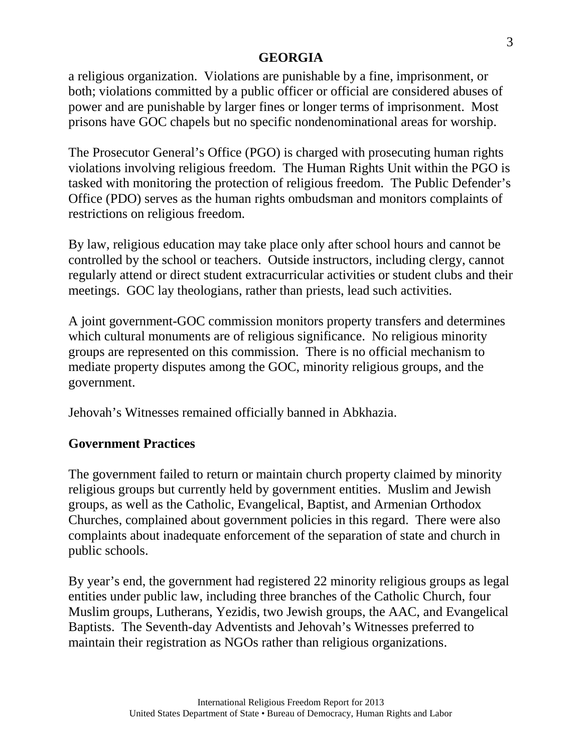a religious organization. Violations are punishable by a fine, imprisonment, or both; violations committed by a public officer or official are considered abuses of power and are punishable by larger fines or longer terms of imprisonment. Most prisons have GOC chapels but no specific nondenominational areas for worship.

The Prosecutor General's Office (PGO) is charged with prosecuting human rights violations involving religious freedom. The Human Rights Unit within the PGO is tasked with monitoring the protection of religious freedom. The Public Defender's Office (PDO) serves as the human rights ombudsman and monitors complaints of restrictions on religious freedom.

By law, religious education may take place only after school hours and cannot be controlled by the school or teachers. Outside instructors, including clergy, cannot regularly attend or direct student extracurricular activities or student clubs and their meetings. GOC lay theologians, rather than priests, lead such activities.

A joint government-GOC commission monitors property transfers and determines which cultural monuments are of religious significance. No religious minority groups are represented on this commission. There is no official mechanism to mediate property disputes among the GOC, minority religious groups, and the government.

Jehovah's Witnesses remained officially banned in Abkhazia.

# **Government Practices**

The government failed to return or maintain church property claimed by minority religious groups but currently held by government entities. Muslim and Jewish groups, as well as the Catholic, Evangelical, Baptist, and Armenian Orthodox Churches, complained about government policies in this regard. There were also complaints about inadequate enforcement of the separation of state and church in public schools.

By year's end, the government had registered 22 minority religious groups as legal entities under public law, including three branches of the Catholic Church, four Muslim groups, Lutherans, Yezidis, two Jewish groups, the AAC, and Evangelical Baptists. The Seventh-day Adventists and Jehovah's Witnesses preferred to maintain their registration as NGOs rather than religious organizations.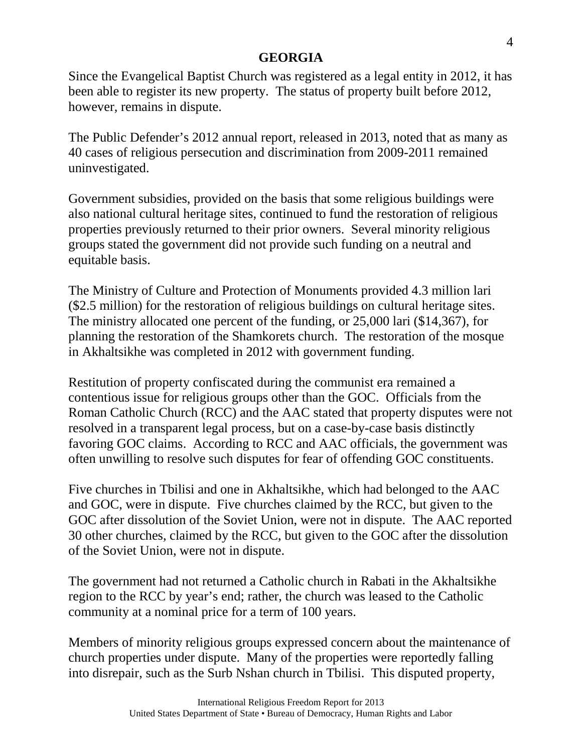Since the Evangelical Baptist Church was registered as a legal entity in 2012, it has been able to register its new property. The status of property built before 2012, however, remains in dispute.

The Public Defender's 2012 annual report, released in 2013, noted that as many as 40 cases of religious persecution and discrimination from 2009-2011 remained uninvestigated.

Government subsidies, provided on the basis that some religious buildings were also national cultural heritage sites, continued to fund the restoration of religious properties previously returned to their prior owners. Several minority religious groups stated the government did not provide such funding on a neutral and equitable basis.

The Ministry of Culture and Protection of Monuments provided 4.3 million lari (\$2.5 million) for the restoration of religious buildings on cultural heritage sites. The ministry allocated one percent of the funding, or 25,000 lari (\$14,367), for planning the restoration of the Shamkorets church. The restoration of the mosque in Akhaltsikhe was completed in 2012 with government funding.

Restitution of property confiscated during the communist era remained a contentious issue for religious groups other than the GOC. Officials from the Roman Catholic Church (RCC) and the AAC stated that property disputes were not resolved in a transparent legal process, but on a case-by-case basis distinctly favoring GOC claims. According to RCC and AAC officials, the government was often unwilling to resolve such disputes for fear of offending GOC constituents.

Five churches in Tbilisi and one in Akhaltsikhe, which had belonged to the AAC and GOC, were in dispute. Five churches claimed by the RCC, but given to the GOC after dissolution of the Soviet Union, were not in dispute. The AAC reported 30 other churches, claimed by the RCC, but given to the GOC after the dissolution of the Soviet Union, were not in dispute.

The government had not returned a Catholic church in Rabati in the Akhaltsikhe region to the RCC by year's end; rather, the church was leased to the Catholic community at a nominal price for a term of 100 years.

Members of minority religious groups expressed concern about the maintenance of church properties under dispute. Many of the properties were reportedly falling into disrepair, such as the Surb Nshan church in Tbilisi. This disputed property,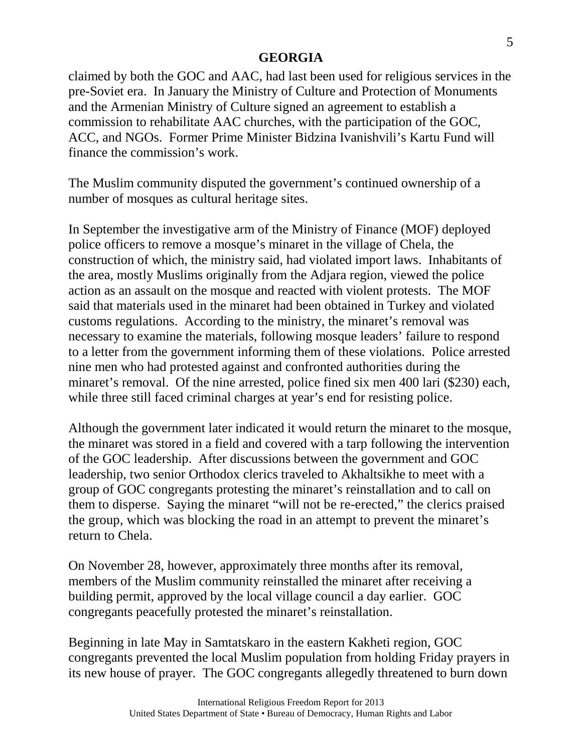claimed by both the GOC and AAC, had last been used for religious services in the pre-Soviet era. In January the Ministry of Culture and Protection of Monuments and the Armenian Ministry of Culture signed an agreement to establish a commission to rehabilitate AAC churches, with the participation of the GOC, ACC, and NGOs. Former Prime Minister Bidzina Ivanishvili's Kartu Fund will finance the commission's work.

The Muslim community disputed the government's continued ownership of a number of mosques as cultural heritage sites.

In September the investigative arm of the Ministry of Finance (MOF) deployed police officers to remove a mosque's minaret in the village of Chela, the construction of which, the ministry said, had violated import laws. Inhabitants of the area, mostly Muslims originally from the Adjara region, viewed the police action as an assault on the mosque and reacted with violent protests. The MOF said that materials used in the minaret had been obtained in Turkey and violated customs regulations. According to the ministry, the minaret's removal was necessary to examine the materials, following mosque leaders' failure to respond to a letter from the government informing them of these violations. Police arrested nine men who had protested against and confronted authorities during the minaret's removal. Of the nine arrested, police fined six men 400 lari (\$230) each, while three still faced criminal charges at year's end for resisting police.

Although the government later indicated it would return the minaret to the mosque, the minaret was stored in a field and covered with a tarp following the intervention of the GOC leadership. After discussions between the government and GOC leadership, two senior Orthodox clerics traveled to Akhaltsikhe to meet with a group of GOC congregants protesting the minaret's reinstallation and to call on them to disperse. Saying the minaret "will not be re-erected," the clerics praised the group, which was blocking the road in an attempt to prevent the minaret's return to Chela.

On November 28, however, approximately three months after its removal, members of the Muslim community reinstalled the minaret after receiving a building permit, approved by the local village council a day earlier. GOC congregants peacefully protested the minaret's reinstallation.

Beginning in late May in Samtatskaro in the eastern Kakheti region, GOC congregants prevented the local Muslim population from holding Friday prayers in its new house of prayer. The GOC congregants allegedly threatened to burn down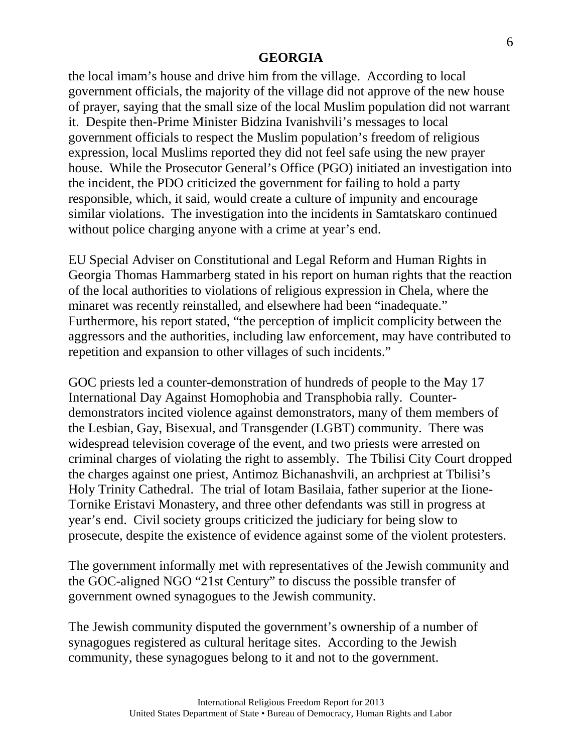the local imam's house and drive him from the village. According to local government officials, the majority of the village did not approve of the new house of prayer, saying that the small size of the local Muslim population did not warrant it. Despite then-Prime Minister Bidzina Ivanishvili's messages to local government officials to respect the Muslim population's freedom of religious expression, local Muslims reported they did not feel safe using the new prayer house. While the Prosecutor General's Office (PGO) initiated an investigation into the incident, the PDO criticized the government for failing to hold a party responsible, which, it said, would create a culture of impunity and encourage similar violations. The investigation into the incidents in Samtatskaro continued without police charging anyone with a crime at year's end.

EU Special Adviser on Constitutional and Legal Reform and Human Rights in Georgia Thomas Hammarberg stated in his report on human rights that the reaction of the local authorities to violations of religious expression in Chela, where the minaret was recently reinstalled, and elsewhere had been "inadequate." Furthermore, his report stated, "the perception of implicit complicity between the aggressors and the authorities, including law enforcement, may have contributed to repetition and expansion to other villages of such incidents."

GOC priests led a counter-demonstration of hundreds of people to the May 17 International Day Against Homophobia and Transphobia rally. Counterdemonstrators incited violence against demonstrators, many of them members of the Lesbian, Gay, Bisexual, and Transgender (LGBT) community. There was widespread television coverage of the event, and two priests were arrested on criminal charges of violating the right to assembly. The Tbilisi City Court dropped the charges against one priest, Antimoz Bichanashvili, an archpriest at Tbilisi's Holy Trinity Cathedral. The trial of Iotam Basilaia, father superior at the Iione-Tornike Eristavi Monastery, and three other defendants was still in progress at year's end. Civil society groups criticized the judiciary for being slow to prosecute, despite the existence of evidence against some of the violent protesters.

The government informally met with representatives of the Jewish community and the GOC-aligned NGO "21st Century" to discuss the possible transfer of government owned synagogues to the Jewish community.

The Jewish community disputed the government's ownership of a number of synagogues registered as cultural heritage sites. According to the Jewish community, these synagogues belong to it and not to the government.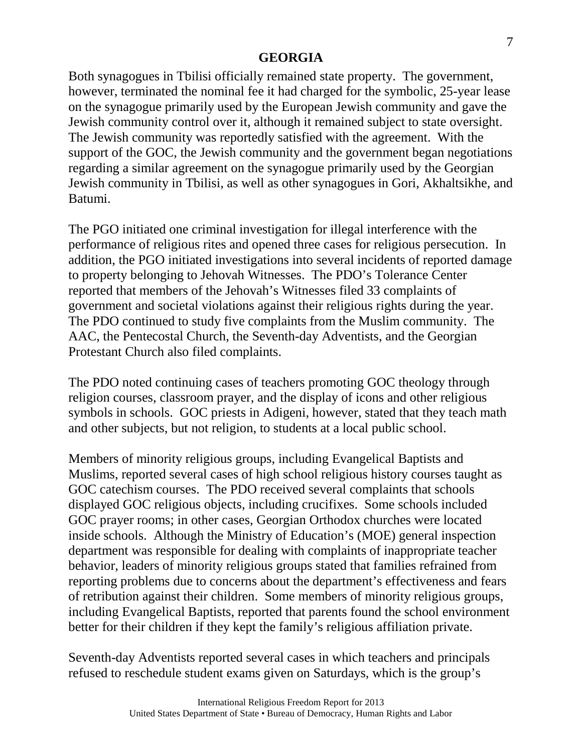Both synagogues in Tbilisi officially remained state property. The government, however, terminated the nominal fee it had charged for the symbolic, 25-year lease on the synagogue primarily used by the European Jewish community and gave the Jewish community control over it, although it remained subject to state oversight. The Jewish community was reportedly satisfied with the agreement. With the support of the GOC, the Jewish community and the government began negotiations regarding a similar agreement on the synagogue primarily used by the Georgian Jewish community in Tbilisi, as well as other synagogues in Gori, Akhaltsikhe, and Batumi.

The PGO initiated one criminal investigation for illegal interference with the performance of religious rites and opened three cases for religious persecution. In addition, the PGO initiated investigations into several incidents of reported damage to property belonging to Jehovah Witnesses. The PDO's Tolerance Center reported that members of the Jehovah's Witnesses filed 33 complaints of government and societal violations against their religious rights during the year. The PDO continued to study five complaints from the Muslim community. The AAC, the Pentecostal Church, the Seventh-day Adventists, and the Georgian Protestant Church also filed complaints.

The PDO noted continuing cases of teachers promoting GOC theology through religion courses, classroom prayer, and the display of icons and other religious symbols in schools. GOC priests in Adigeni, however, stated that they teach math and other subjects, but not religion, to students at a local public school.

Members of minority religious groups, including Evangelical Baptists and Muslims, reported several cases of high school religious history courses taught as GOC catechism courses. The PDO received several complaints that schools displayed GOC religious objects, including crucifixes. Some schools included GOC prayer rooms; in other cases, Georgian Orthodox churches were located inside schools. Although the Ministry of Education's (MOE) general inspection department was responsible for dealing with complaints of inappropriate teacher behavior, leaders of minority religious groups stated that families refrained from reporting problems due to concerns about the department's effectiveness and fears of retribution against their children. Some members of minority religious groups, including Evangelical Baptists, reported that parents found the school environment better for their children if they kept the family's religious affiliation private.

Seventh-day Adventists reported several cases in which teachers and principals refused to reschedule student exams given on Saturdays, which is the group's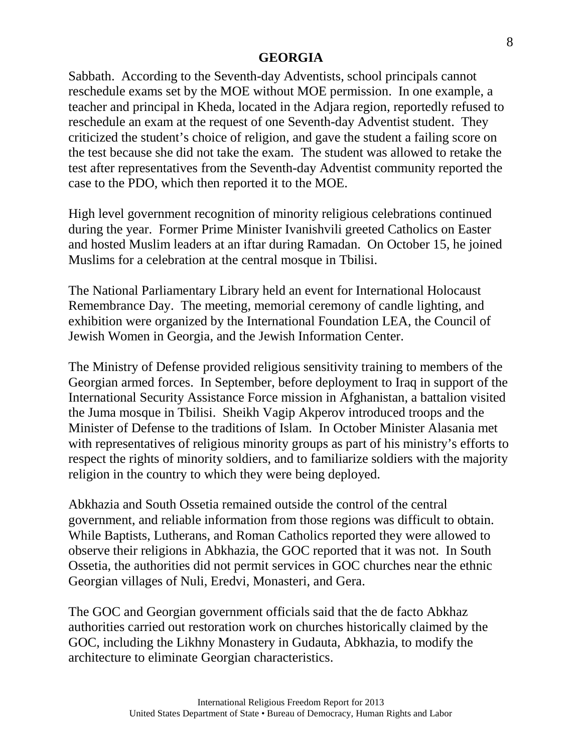Sabbath. According to the Seventh-day Adventists, school principals cannot reschedule exams set by the MOE without MOE permission. In one example, a teacher and principal in Kheda, located in the Adjara region, reportedly refused to reschedule an exam at the request of one Seventh-day Adventist student. They criticized the student's choice of religion, and gave the student a failing score on the test because she did not take the exam. The student was allowed to retake the test after representatives from the Seventh-day Adventist community reported the case to the PDO, which then reported it to the MOE.

High level government recognition of minority religious celebrations continued during the year. Former Prime Minister Ivanishvili greeted Catholics on Easter and hosted Muslim leaders at an iftar during Ramadan. On October 15, he joined Muslims for a celebration at the central mosque in Tbilisi.

The National Parliamentary Library held an event for International Holocaust Remembrance Day. The meeting, memorial ceremony of candle lighting, and exhibition were organized by the International Foundation LEA, the Council of Jewish Women in Georgia, and the Jewish Information Center.

The Ministry of Defense provided religious sensitivity training to members of the Georgian armed forces. In September, before deployment to Iraq in support of the International Security Assistance Force mission in Afghanistan, a battalion visited the Juma mosque in Tbilisi. Sheikh Vagip Akperov introduced troops and the Minister of Defense to the traditions of Islam. In October Minister Alasania met with representatives of religious minority groups as part of his ministry's efforts to respect the rights of minority soldiers, and to familiarize soldiers with the majority religion in the country to which they were being deployed.

Abkhazia and South Ossetia remained outside the control of the central government, and reliable information from those regions was difficult to obtain. While Baptists, Lutherans, and Roman Catholics reported they were allowed to observe their religions in Abkhazia, the GOC reported that it was not. In South Ossetia, the authorities did not permit services in GOC churches near the ethnic Georgian villages of Nuli, Eredvi, Monasteri, and Gera.

The GOC and Georgian government officials said that the de facto Abkhaz authorities carried out restoration work on churches historically claimed by the GOC, including the Likhny Monastery in Gudauta, Abkhazia, to modify the architecture to eliminate Georgian characteristics.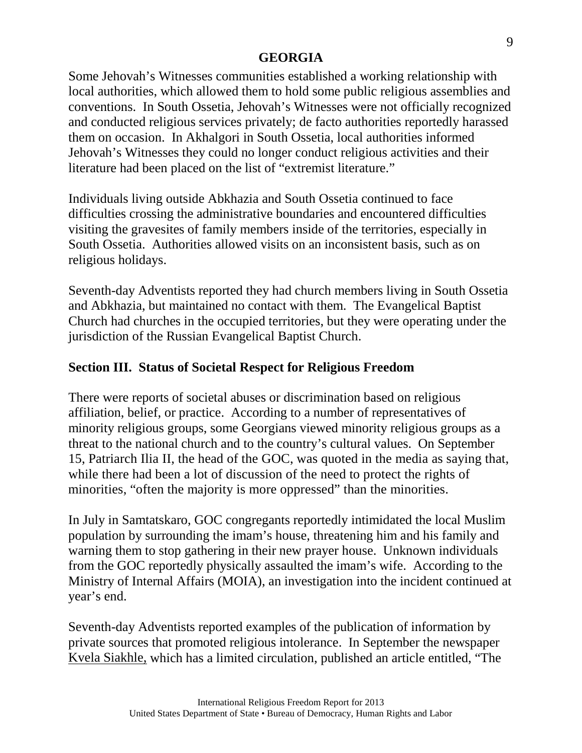Some Jehovah's Witnesses communities established a working relationship with local authorities, which allowed them to hold some public religious assemblies and conventions. In South Ossetia, Jehovah's Witnesses were not officially recognized and conducted religious services privately; de facto authorities reportedly harassed them on occasion. In Akhalgori in South Ossetia, local authorities informed Jehovah's Witnesses they could no longer conduct religious activities and their literature had been placed on the list of "extremist literature."

Individuals living outside Abkhazia and South Ossetia continued to face difficulties crossing the administrative boundaries and encountered difficulties visiting the gravesites of family members inside of the territories, especially in South Ossetia. Authorities allowed visits on an inconsistent basis, such as on religious holidays.

Seventh-day Adventists reported they had church members living in South Ossetia and Abkhazia, but maintained no contact with them. The Evangelical Baptist Church had churches in the occupied territories, but they were operating under the jurisdiction of the Russian Evangelical Baptist Church.

# **Section III. Status of Societal Respect for Religious Freedom**

There were reports of societal abuses or discrimination based on religious affiliation, belief, or practice. According to a number of representatives of minority religious groups, some Georgians viewed minority religious groups as a threat to the national church and to the country's cultural values. On September 15, Patriarch Ilia II, the head of the GOC, was quoted in the media as saying that, while there had been a lot of discussion of the need to protect the rights of minorities, "often the majority is more oppressed" than the minorities.

In July in Samtatskaro, GOC congregants reportedly intimidated the local Muslim population by surrounding the imam's house, threatening him and his family and warning them to stop gathering in their new prayer house. Unknown individuals from the GOC reportedly physically assaulted the imam's wife. According to the Ministry of Internal Affairs (MOIA), an investigation into the incident continued at year's end.

Seventh-day Adventists reported examples of the publication of information by private sources that promoted religious intolerance. In September the newspaper Kvela Siakhle, which has a limited circulation, published an article entitled, "The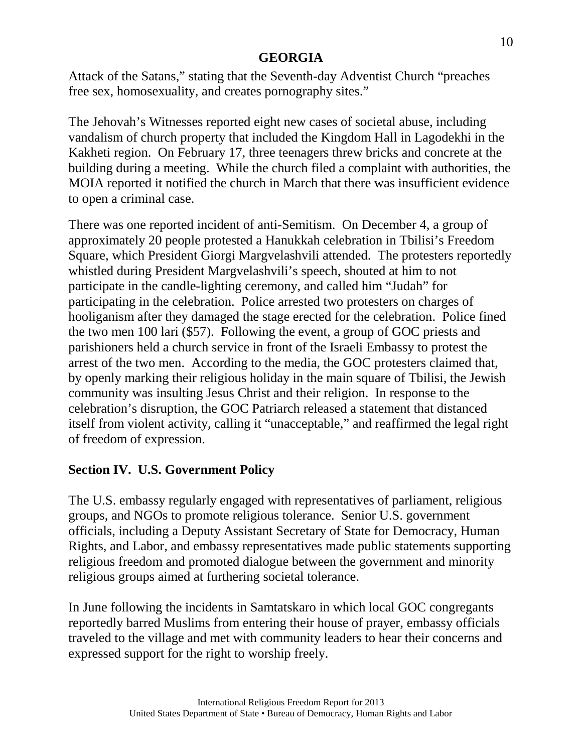Attack of the Satans," stating that the Seventh-day Adventist Church "preaches free sex, homosexuality, and creates pornography sites."

The Jehovah's Witnesses reported eight new cases of societal abuse, including vandalism of church property that included the Kingdom Hall in Lagodekhi in the Kakheti region. On February 17, three teenagers threw bricks and concrete at the building during a meeting. While the church filed a complaint with authorities, the MOIA reported it notified the church in March that there was insufficient evidence to open a criminal case.

There was one reported incident of anti-Semitism. On December 4, a group of approximately 20 people protested a Hanukkah celebration in Tbilisi's Freedom Square, which President Giorgi Margvelashvili attended. The protesters reportedly whistled during President Margvelashvili's speech, shouted at him to not participate in the candle-lighting ceremony, and called him "Judah" for participating in the celebration. Police arrested two protesters on charges of hooliganism after they damaged the stage erected for the celebration. Police fined the two men 100 lari (\$57). Following the event, a group of GOC priests and parishioners held a church service in front of the Israeli Embassy to protest the arrest of the two men. According to the media, the GOC protesters claimed that, by openly marking their religious holiday in the main square of Tbilisi, the Jewish community was insulting Jesus Christ and their religion. In response to the celebration's disruption, the GOC Patriarch released a statement that distanced itself from violent activity, calling it "unacceptable," and reaffirmed the legal right of freedom of expression.

# **Section IV. U.S. Government Policy**

The U.S. embassy regularly engaged with representatives of parliament, religious groups, and NGOs to promote religious tolerance. Senior U.S. government officials, including a Deputy Assistant Secretary of State for Democracy, Human Rights, and Labor, and embassy representatives made public statements supporting religious freedom and promoted dialogue between the government and minority religious groups aimed at furthering societal tolerance.

In June following the incidents in Samtatskaro in which local GOC congregants reportedly barred Muslims from entering their house of prayer, embassy officials traveled to the village and met with community leaders to hear their concerns and expressed support for the right to worship freely.